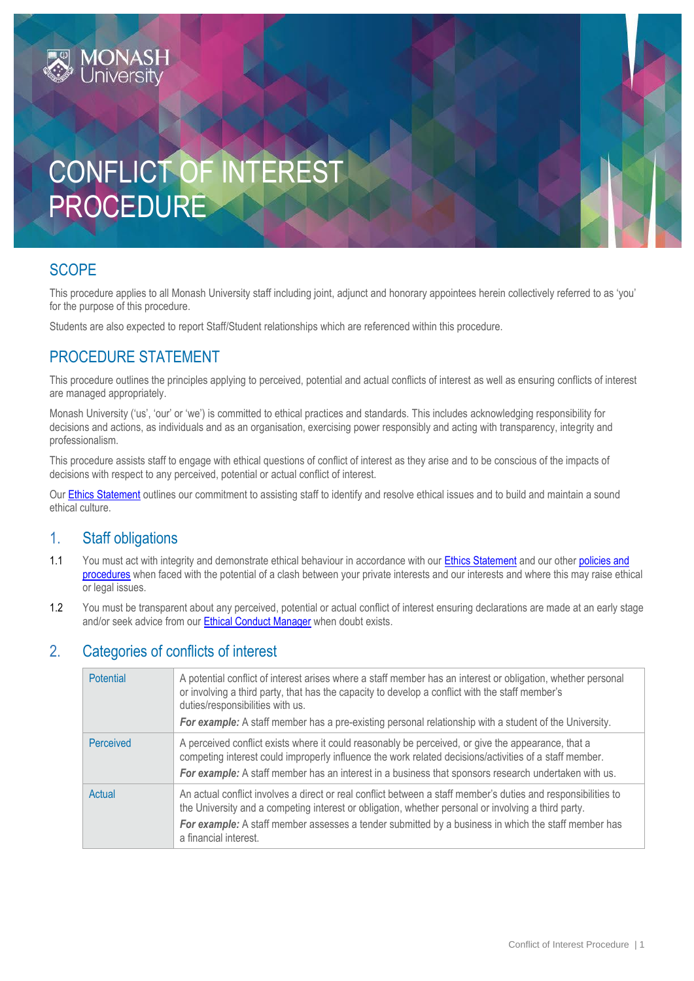# CONFLICT OF INTEREST PROCEDURE

# **SCOPE**

This procedure applies to all Monash University staff including joint, adjunct and honorary appointees herein collectively referred to as 'you' for the purpose of this procedure.

Students are also expected to report Staff/Student relationships which are referenced within this procedure.

# PROCEDURE STATEMENT

This procedure outlines the principles applying to perceived, potential and actual conflicts of interest as well as ensuring conflicts of interest are managed appropriately.

Monash University ('us', 'our' or 'we') is committed to ethical practices and standards. This includes acknowledging responsibility for decisions and actions, as individuals and as an organisation, exercising power responsibly and acting with transparency, integrity and professionalism.

This procedure assists staff to engage with ethical questions of conflict of interest as they arise and to be conscious of the impacts of decisions with respect to any perceived, potential or actual conflict of interest.

Ou[r Ethics Statement](https://publicpolicydms.monash.edu/Monash/documents/1935683) outlines our commitment to assisting staff to identify and resolve ethical issues and to build and maintain a sound ethical culture.

## 1. Staff obligations

- 1.1 You must act with integrity and demonstrate ethical behaviour in accordance with our **Ethics Statement** and our other policies and [procedures](https://www.monash.edu/policy-bank/home) when faced with the potential of a clash between your private interests and our interests and where this may raise ethical or legal issues.
- 1.2 You must be transparent about any perceived, potential or actual conflict of interest ensuring declarations are made at an early stage and/or seek advice from our [Ethical Conduct Manager](mailto:ethical.conduct.queries@monash.edu) when doubt exists.

## 2. Categories of conflicts of interest

| Potential | A potential conflict of interest arises where a staff member has an interest or obligation, whether personal<br>or involving a third party, that has the capacity to develop a conflict with the staff member's<br>duties/responsibilities with us.<br>For example: A staff member has a pre-existing personal relationship with a student of the University. |
|-----------|---------------------------------------------------------------------------------------------------------------------------------------------------------------------------------------------------------------------------------------------------------------------------------------------------------------------------------------------------------------|
| Perceived | A perceived conflict exists where it could reasonably be perceived, or give the appearance, that a<br>competing interest could improperly influence the work related decisions/activities of a staff member.<br>For example: A staff member has an interest in a business that sponsors research undertaken with us.                                          |
| Actual    | An actual conflict involves a direct or real conflict between a staff member's duties and responsibilities to<br>the University and a competing interest or obligation, whether personal or involving a third party.<br>For example: A staff member assesses a tender submitted by a business in which the staff member has<br>a financial interest.          |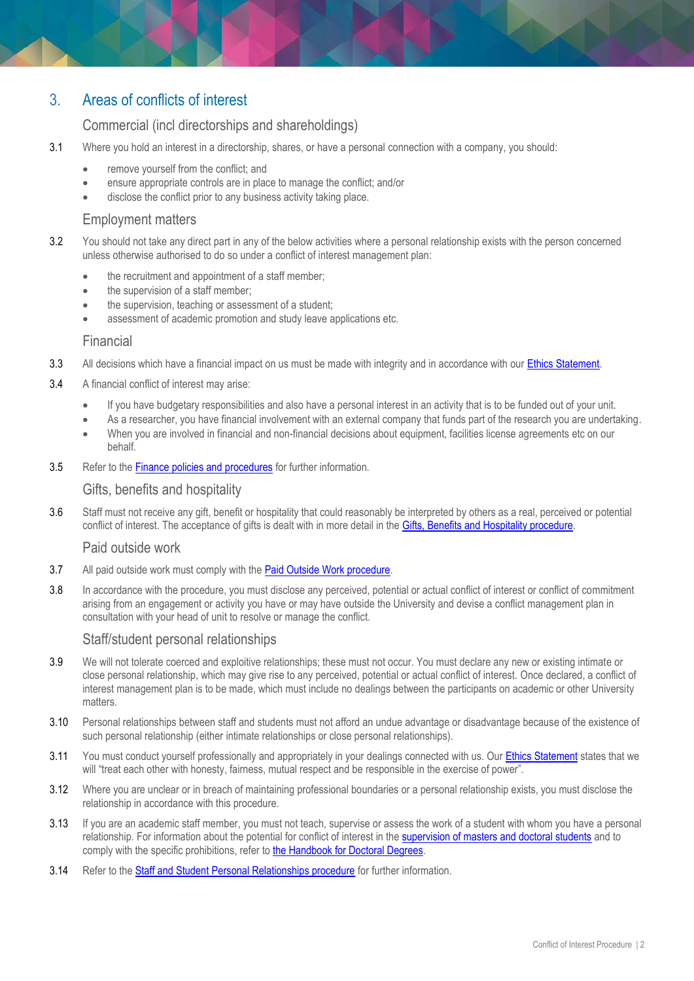# 3. Areas of conflicts of interest

## Commercial (incl directorships and shareholdings)

- 3.1 Where you hold an interest in a directorship, shares, or have a personal connection with a company, you should:
	- remove yourself from the conflict; and
	- ensure appropriate controls are in place to manage the conflict; and/or
	- disclose the conflict prior to any business activity taking place.

## Employment matters

- 3.2 You should not take any direct part in any of the below activities where a personal relationship exists with the person concerned unless otherwise authorised to do so under a conflict of interest management plan:
	- the recruitment and appointment of a staff member;
	- the supervision of a staff member;
	- the supervision, teaching or assessment of a student;
	- assessment of academic promotion and study leave applications etc.

#### Financial

- 3.3 All decisions which have a financial impact on us must be made with integrity and in accordance with our [Ethics Statement.](https://publicpolicydms.monash.edu/Monash/documents/1935683)
- 3.4 A financial conflict of interest may arise:
	- If you have budgetary responsibilities and also have a personal interest in an activity that is to be funded out of your unit.
	- As a researcher, you have financial involvement with an external company that funds part of the research you are undertaking.
	- When you are involved in financial and non-financial decisions about equipment, facilities license agreements etc on our behalf.
- 3.5 Refer to the Finance [policies and procedures](https://www.monash.edu/policy-bank/management/finance) for further information.

#### Gifts, benefits and hospitality

3.6 Staff must not receive any gift, benefit or hospitality that could reasonably be interpreted by others as a real, perceived or potential conflict of interest. The acceptance of gifts is dealt with in more detail in the [Gifts, Benefits and Hospitality procedure.](https://publicpolicydms.monash.edu/Monash/documents/1935701)

#### Paid outside work

- 3.7 All paid outside work must comply with the [Paid Outside Work procedure.](https://publicpolicydms.monash.edu/Monash/documents/1935711)
- 3.8 In accordance with the procedure, you must disclose any perceived, potential or actual conflict of interest or conflict of commitment arising from an engagement or activity you have or may have outside the University and devise a conflict management plan in consultation with your head of unit to resolve or manage the conflict.

#### Staff/student personal relationships

- 3.9 We will not tolerate coerced and exploitive relationships; these must not occur. You must declare any new or existing intimate or close personal relationship, which may give rise to any perceived, potential or actual conflict of interest. Once declared, a conflict of interest management plan is to be made, which must include no dealings between the participants on academic or other University matters.
- 3.10 Personal relationships between staff and students must not afford an undue advantage or disadvantage because of the existence of such personal relationship (either intimate relationships or close personal relationships).
- 3.11 You must conduct yourself professionally and appropriately in your dealings connected with us. Our **Ethics Statement** states that we will "treat each other with honesty, fairness, mutual respect and be responsible in the exercise of power".
- 3.12 Where you are unclear or in breach of maintaining professional boundaries or a personal relationship exists, you must disclose the relationship in accordance with this procedure.
- 3.13 If you are an academic staff member, you must not teach, supervise or assess the work of a student with whom you have a personal relationship. For information about the potential for conflict of interest in the [supervision of masters and doctoral students](https://www.monash.edu/graduate-research/faqs-and-resources/content/chapter-five/5-2) and to comply with the specific prohibitions, refer to [the Handbook for Doctoral Degrees.](https://monash.edu/graduate-research/faqs-and-resources/content/chapter-five/5-2#conflicts)
- 3.14 Refer to the [Staff and Student Personal Relationships procedure](https://publicpolicydms.monash.edu/Monash/documents/1935732) for further information.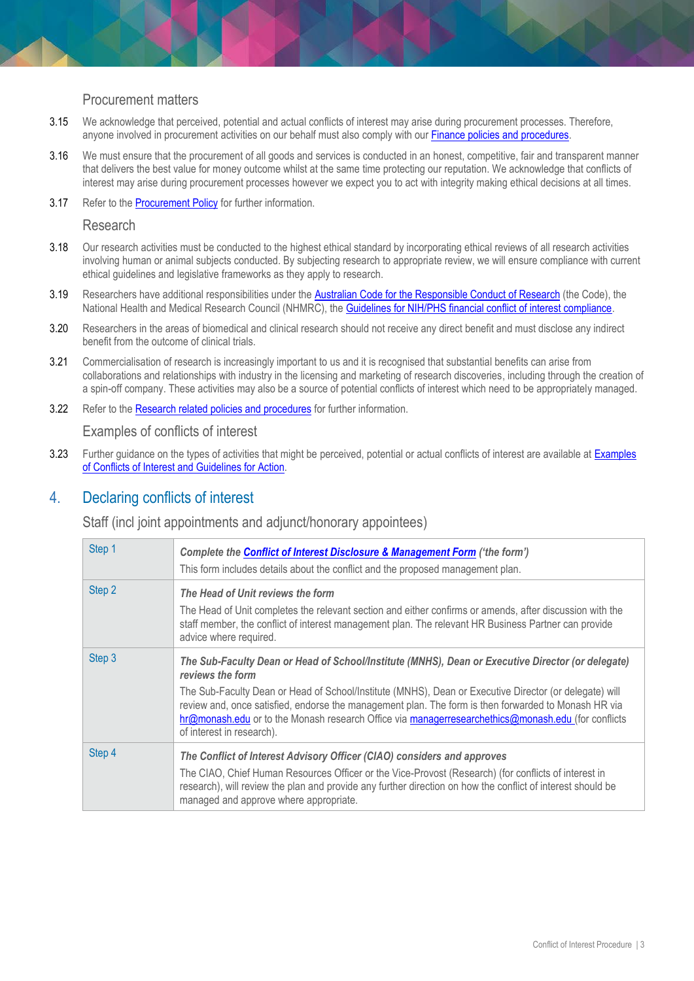#### Procurement matters

- 3.15 We acknowledge that perceived, potential and actual conflicts of interest may arise during procurement processes. Therefore, anyone involved in procurement activities on our behalf must also comply with our Finance [policies and procedures.](https://www.monash.edu/policy-bank/management/finance)
- 3.16 We must ensure that the procurement of all goods and services is conducted in an honest, competitive, fair and transparent manner that delivers the best value for money outcome whilst at the same time protecting our reputation. We acknowledge that conflicts of interest may arise during procurement processes however we expect you to act with integrity making ethical decisions at all times.
- 3.17 Refer to the [Procurement Policy](https://publicpolicydms.monash.edu/Monash/documents/1909221) for further information.

#### Research

- 3.18 Our research activities must be conducted to the highest ethical standard by incorporating ethical reviews of all research activities involving human or animal subjects conducted. By subjecting research to appropriate review, we will ensure compliance with current ethical guidelines and legislative frameworks as they apply to research.
- 3.19 Researchers have additional responsibilities under the [Australian Code for the Responsible Conduct of Research](https://www.nhmrc.gov.au/about-us/publications/australian-code-responsible-conduct-research-2018) (the Code), the National Health and Medical Research Council (NHMRC), the [Guidelines for NIH/PHS financial conflict of interest compliance.](https://grants.nih.gov/grants/policy/coi/index.htm)
- 3.20 Researchers in the areas of biomedical and clinical research should not receive any direct benefit and must disclose any indirect benefit from the outcome of clinical trials.
- 3.21 Commercialisation of research is increasingly important to us and it is recognised that substantial benefits can arise from collaborations and relationships with industry in the licensing and marketing of research discoveries, including through the creation of a spin-off company. These activities may also be a source of potential conflicts of interest which need to be appropriately managed.
- 3.22 Refer to the [Research related policies and procedures](https://www.monash.edu/policy-bank/academic/research) for further information.

Examples of conflicts of interest

3.23 Further quidance on the types of activities that might be perceived, potential or actual conflicts of interest are available at Examples [of Conflicts of Interest and Guidelines for Action.](https://www.monash.edu/__data/assets/pdf_file/0009/1248489/Conflict-of-Interest-Examples-and-Actions-Guideline.pdf)

## 4. Declaring conflicts of interest

Staff (incl joint appointments and adjunct/honorary appointees)

| Step 1 | Complete the <b>Conflict of Interest Disclosure &amp; Management Form</b> ('the form')<br>This form includes details about the conflict and the proposed management plan.                                                                                                                                                                                                                                                                                                  |
|--------|----------------------------------------------------------------------------------------------------------------------------------------------------------------------------------------------------------------------------------------------------------------------------------------------------------------------------------------------------------------------------------------------------------------------------------------------------------------------------|
| Step 2 | The Head of Unit reviews the form<br>The Head of Unit completes the relevant section and either confirms or amends, after discussion with the<br>staff member, the conflict of interest management plan. The relevant HR Business Partner can provide<br>advice where required.                                                                                                                                                                                            |
| Step 3 | The Sub-Faculty Dean or Head of School/Institute (MNHS), Dean or Executive Director (or delegate)<br>reviews the form<br>The Sub-Faculty Dean or Head of School/Institute (MNHS), Dean or Executive Director (or delegate) will<br>review and, once satisfied, endorse the management plan. The form is then forwarded to Monash HR via<br>hr@monash.edu or to the Monash research Office via managerresearchethics@monash.edu (for conflicts<br>of interest in research). |
| Step 4 | The Conflict of Interest Advisory Officer (CIAO) considers and approves<br>The CIAO, Chief Human Resources Officer or the Vice-Provost (Research) (for conflicts of interest in<br>research), will review the plan and provide any further direction on how the conflict of interest should be<br>managed and approve where appropriate.                                                                                                                                   |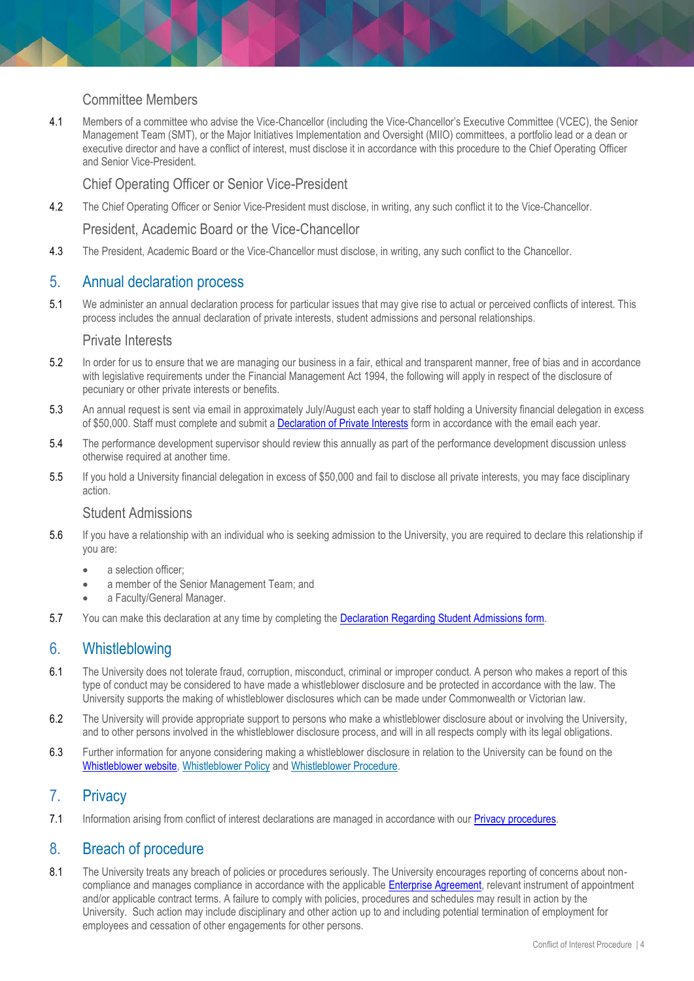## Committee Members

4.1 Members of a committee who advise the Vice-Chancellor (including the Vice-Chancellor's Executive Committee (VCEC), the Senior Management Team (SMT), or the Major Initiatives Implementation and Oversight (MIIO) committees, a portfolio lead or a dean or executive director and have a conflict of interest, must disclose it in accordance with this procedure to the Chief Operating Officer and Senior Vice-President.

Chief Operating Officer or Senior Vice-President

4.2 The Chief Operating Officer or Senior Vice-President must disclose, in writing, any such conflict it to the Vice-Chancellor.

President, Academic Board or the Vice-Chancellor

4.3 The President, Academic Board or the Vice-Chancellor must disclose, in writing, any such conflict to the Chancellor.

## 5. Annual declaration process

5.1 We administer an annual declaration process for particular issues that may give rise to actual or perceived conflicts of interest. This process includes the annual declaration of private interests, student admissions and personal relationships.

#### Private Interests

- 5.2 In order for us to ensure that we are managing our business in a fair, ethical and transparent manner, free of bias and in accordance with legislative requirements under the Financial Management Act 1994, the following will apply in respect of the disclosure of pecuniary or other private interests or benefits.
- 5.3 An annual request is sent via email in approximately July/August each year to staff holding a University financial delegation in excess of \$50,000. Staff must complete and submit a [Declaration of Private Interests](https://www.monash.edu/eforms-resources/frevvo-forms/hr/declaration-of-private-interests) form in accordance with the email each year.
- 5.4 The performance development supervisor should review this annually as part of the performance development discussion unless otherwise required at another time.
- 5.5 If you hold a University financial delegation in excess of \$50,000 and fail to disclose all private interests, you may face disciplinary action.

#### Student Admissions

- 5.6 If you have a relationship with an individual who is seeking admission to the University, you are required to declare this relationship if you are:
	- a selection officer:
	- a member of the Senior Management Team; and
	- a Faculty/General Manager.
- 5.7 You can make this declaration at any time by completing the [Declaration Regarding Student Admissions form.](https://www.monash.edu/eforms-resources/frevvo-forms/hr/declaration-student-admissions)

## 6. Whistleblowing

- 6.1 The University does not tolerate fraud, corruption, misconduct, criminal or improper conduct. A person who makes a report of this type of conduct may be considered to have made a whistleblower disclosure and be protected in accordance with the law. The University supports the making of whistleblower disclosures which can be made under Commonwealth or Victorian law.
- 6.2 The University will provide appropriate support to persons who make a whistleblower disclosure about or involving the University, and to other persons involved in the whistleblower disclosure process, and will in all respects comply with its legal obligations.
- 6.3 Further information for anyone considering making a whistleblower disclosure in relation to the University can be found on the [Whistleblower website,](https://www.monash.edu/whistleblower/home) [Whistleblower Policy](https://publicpolicydms.monash.edu/Monash/documents/1909269) and [Whistleblower Procedure.](https://publicpolicydms.monash.edu/Monash/documents/1909259)

## 7. Privacy

7.1 Information arising from conflict of interest declarations are managed in accordance with our [Privacy procedures.](https://www.monash.edu/privacy-monash)

## 8. Breach of procedure

8.1 The University treats any breach of policies or procedures seriously. The University encourages reporting of concerns about noncompliance and manages compliance in accordance with the applicabl[e Enterprise Agreement,](https://www.monash.edu/current-enterprise-agreements) relevant instrument of appointment and/or applicable contract terms. A failure to comply with policies, procedures and schedules may result in action by the University. Such action may include disciplinary and other action up to and including potential termination of employment for employees and cessation of other engagements for other persons.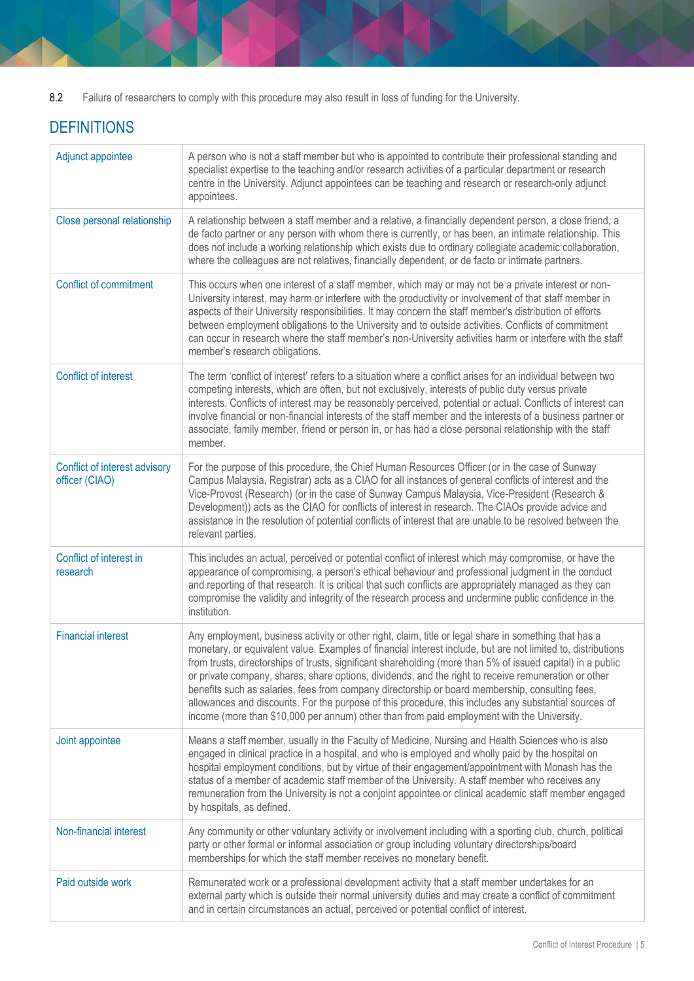8.2 Failure of researchers to comply with this procedure may also result in loss of funding for the University.

# **DEFINITIONS**

| Adjunct appointee                               | A person who is not a staff member but who is appointed to contribute their professional standing and<br>specialist expertise to the teaching and/or research activities of a particular department or research<br>centre in the University. Adjunct appointees can be teaching and research or research-only adjunct<br>appointees.                                                                                                                                                                                                                                                                                                                                                                                                                   |
|-------------------------------------------------|--------------------------------------------------------------------------------------------------------------------------------------------------------------------------------------------------------------------------------------------------------------------------------------------------------------------------------------------------------------------------------------------------------------------------------------------------------------------------------------------------------------------------------------------------------------------------------------------------------------------------------------------------------------------------------------------------------------------------------------------------------|
| Close personal relationship                     | A relationship between a staff member and a relative, a financially dependent person, a close friend, a<br>de facto partner or any person with whom there is currently, or has been, an intimate relationship. This<br>does not include a working relationship which exists due to ordinary collegiate academic collaboration,<br>where the colleagues are not relatives, financially dependent, or de facto or intimate partners.                                                                                                                                                                                                                                                                                                                     |
| <b>Conflict of commitment</b>                   | This occurs when one interest of a staff member, which may or may not be a private interest or non-<br>University interest, may harm or interfere with the productivity or involvement of that staff member in<br>aspects of their University responsibilities. It may concern the staff member's distribution of efforts<br>between employment obligations to the University and to outside activities. Conflicts of commitment<br>can occur in research where the staff member's non-University activities harm or interfere with the staff<br>member's research obligations.                                                                                                                                                                        |
| <b>Conflict of interest</b>                     | The term 'conflict of interest' refers to a situation where a conflict arises for an individual between two<br>competing interests, which are often, but not exclusively, interests of public duty versus private<br>interests. Conflicts of interest may be reasonably perceived, potential or actual. Conflicts of interest can<br>involve financial or non-financial interests of the staff member and the interests of a business partner or<br>associate, family member, friend or person in, or has had a close personal relationship with the staff<br>member.                                                                                                                                                                                  |
| Conflict of interest advisory<br>officer (CIAO) | For the purpose of this procedure, the Chief Human Resources Officer (or in the case of Sunway<br>Campus Malaysia, Registrar) acts as a CIAO for all instances of general conflicts of interest and the<br>Vice-Provost (Research) (or in the case of Sunway Campus Malaysia, Vice-President (Research &<br>Development)) acts as the CIAO for conflicts of interest in research. The CIAOs provide advice and<br>assistance in the resolution of potential conflicts of interest that are unable to be resolved between the<br>relevant parties.                                                                                                                                                                                                      |
| Conflict of interest in<br>research             | This includes an actual, perceived or potential conflict of interest which may compromise, or have the<br>appearance of compromising, a person's ethical behaviour and professional judgment in the conduct<br>and reporting of that research. It is critical that such conflicts are appropriately managed as they can<br>compromise the validity and integrity of the research process and undermine public confidence in the<br>institution.                                                                                                                                                                                                                                                                                                        |
| <b>Financial interest</b>                       | Any employment, business activity or other right, claim, title or legal share in something that has a<br>monetary, or equivalent value. Examples of financial interest include, but are not limited to, distributions<br>from trusts, directorships of trusts, significant shareholding (more than 5% of issued capital) in a public<br>or private company, shares, share options, dividends, and the right to receive remuneration or other<br>benefits such as salaries, fees from company directorship or board membership, consulting fees,<br>allowances and discounts. For the purpose of this procedure, this includes any substantial sources of<br>income (more than \$10,000 per annum) other than from paid employment with the University. |
| Joint appointee                                 | Means a staff member, usually in the Faculty of Medicine, Nursing and Health Sciences who is also<br>engaged in clinical practice in a hospital, and who is employed and wholly paid by the hospital on<br>hospital employment conditions, but by virtue of their engagement/appointment with Monash has the<br>status of a member of academic staff member of the University. A staff member who receives any<br>remuneration from the University is not a conjoint appointee or clinical academic staff member engaged<br>by hospitals, as defined.                                                                                                                                                                                                  |
| Non-financial interest                          | Any community or other voluntary activity or involvement including with a sporting club, church, political<br>party or other formal or informal association or group including voluntary directorships/board<br>memberships for which the staff member receives no monetary benefit.                                                                                                                                                                                                                                                                                                                                                                                                                                                                   |
| Paid outside work                               | Remunerated work or a professional development activity that a staff member undertakes for an<br>external party which is outside their normal university duties and may create a conflict of commitment<br>and in certain circumstances an actual, perceived or potential conflict of interest.                                                                                                                                                                                                                                                                                                                                                                                                                                                        |